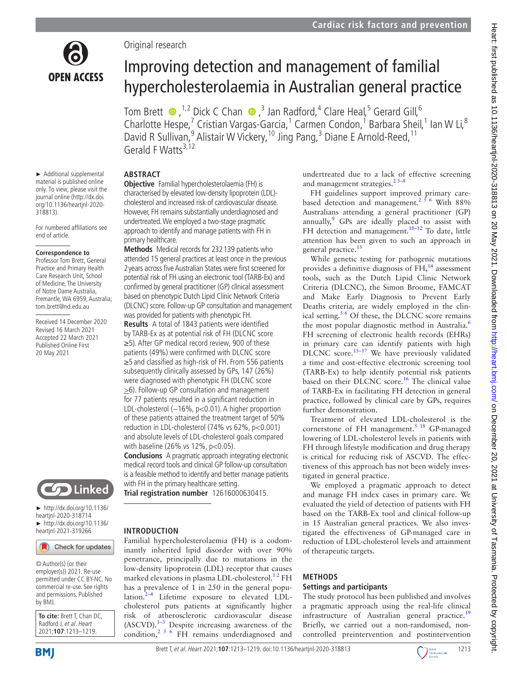

► Additional supplemental material is published online only. To view, please visit the journal online ([http://dx.doi.](http://dx.doi.org/10.1136/heartjnl-2020-318813) [org/10.1136/heartjnl-2020-](http://dx.doi.org/10.1136/heartjnl-2020-318813)

For numbered affiliations see

Received 14 December 2020 Revised 16 March 2021 Accepted 22 March 2021 Published Online First 20 May 2021

**Correspondence to** Professor Tom Brett, General Practice and Primary Health Care Research Unit, School of Medicine, The University of Notre Dame Australia, Fremantle, WA 6959, Australia; tom.brett@nd.edu.au

[318813](http://dx.doi.org/10.1136/heartjnl-2020-318813)).

end of article.

# Original research

# Improving detection and management of familial hypercholesterolaemia in Australian general practice

TomBrett  $\bullet$ , <sup>1,2</sup> Dick C Chan  $\bullet$ , 3 Jan Radford, 4 Clare Heal, 5 Gerard Gill, 6 Charlotte Hespe,<sup>7</sup> Cristian Vargas-Garcia,<sup>1</sup> Carmen Condon,<sup>1</sup> Barbara Sheil,<sup>1</sup> Ian W Li,<sup>8</sup> David R Sullivan,<sup>9</sup> Alistair W Vickery, <sup>10</sup> Jing Pang,<sup>3</sup> Diane E Arnold-Reed, <sup>11</sup> Gerald F Watts $3,12$ 

# **ABSTRACT**

**Objective** Familial hypercholesterolaemia (FH) is characterised by elevated low-density lipoprotein (LDL) cholesterol and increased risk of cardiovascular disease. However, FH remains substantially underdiagnosed and undertreated. We employed a two-stage pragmatic approach to identify and manage patients with FH in primary healthcare.

**Methods** Medical records for 232139 patients who attended 15 general practices at least once in the previous 2years across five Australian States were first screened for potential risk of FH using an electronic tool (TARB-Ex) and confirmed by general practitioner (GP) clinical assessment based on phenotypic Dutch Lipid Clinic Network Criteria (DLCNC) score. Follow-up GP consultation and management was provided for patients with phenotypic FH.

**Results** A total of 1843 patients were identified by TARB-Ex as at potential risk of FH (DLCNC score ≥5). After GP medical record review, 900 of these patients (49%) were confirmed with DLCNC score ≥5 and classified as high-risk of FH. From 556 patients subsequently clinically assessed by GPs, 147 (26%) were diagnosed with phenotypic FH (DLCNC score >6). Follow-up GP consultation and management for 77 patients resulted in a significant reduction in LDL-cholesterol (−16%, p<0.01). A higher proportion of these patients attained the treatment target of 50% reduction in LDL-cholesterol (74% vs 62%, p<0.001) and absolute levels of LDL-cholesterol goals compared with baseline (26% vs 12%, p<0.05).

**Conclusions** A pragmatic approach integrating electronic medical record tools and clinical GP follow-up consultation is a feasible method to identify and better manage patients with FH in the primary healthcare setting.

**Trial registration number** 12616000630415.

## **INTRODUCTION**

Familial hypercholesterolaemia (FH) is a codominantly inherited lipid disorder with over 90% penetrance, principally due to mutations in the low-density lipoprotein (LDL) receptor that causes marked elevations in plasma LDL-cholesterol.<sup>12</sup> FH has a prevalence of 1 in 250 in the general population. $2-4$  Lifetime exposure to elevated LDLcholesterol puts patients at significantly higher risk of atherosclerotic cardiovascular disease  $(ASCVD).$ <sup>1-3</sup> Despite increasing awareness of the condition,  $2^{5}$  6 FH remains underdiagnosed and

undertreated due to a lack of effective screening and management strategies. $25-8$ 

FH guidelines support improved primary carebased detection and management.<sup>256</sup> With 88% Australians attending a general practitioner (GP) annually, $9$  GPs are ideally placed to assist with FH detection and management.<sup>10-12</sup> To date, little attention has been given to such an approach in general practice.<sup>13</sup>

While genetic testing for pathogenic mutations provides a definitive diagnosis of  $FH$ ,<sup>[14](#page-6-3)</sup> assessment tools, such as the Dutch Lipid Clinic Network Criteria (DLCNC), the Simon Broome, FAMCAT and Make Early Diagnosis to Prevent Early Deaths criteria, are widely employed in the clin-ical setting.<sup>[5 6](#page-5-2)</sup> Of these, the DLCNC score remains the most popular diagnostic method in Australia.<sup>[6](#page-6-4)</sup> FH screening of electronic health records (EHRs) in primary care can identify patients with high DLCNC score.<sup>15-17</sup> We have previously validated a time and cost-effective electronic screening tool (TARB-Ex) to help identify potential risk patients based on their DLCNC score.<sup>16</sup> The clinical value of TARB-Ex in facilitating FH detection in general practice, followed by clinical care by GPs, requires further demonstration.

Treatment of elevated LDL-cholesterol is the cornerstone of FH management. $5^{18}$  GP-managed lowering of LDL-cholesterol levels in patients with FH through lifestyle modification and drug therapy is critical for reducing risk of ASCVD. The effectiveness of this approach has not been widely investigated in general practice.

We employed a pragmatic approach to detect and manage FH index cases in primary care. We evaluated the yield of detection of patients with FH based on the TARB-Ex tool and clinical follow-up in 15 Australian general practices. We also investigated the effectiveness of GP-managed care in reduction of LDL-cholesterol levels and attainment of therapeutic targets.

## **METHODS**

## **Settings and participants**

The study protocol has been published and involves a pragmatic approach using the real-life clinical infrastructure of Australian general practice.<sup>[19](#page-6-7)</sup> Briefly, we carried out a non-randomised, noncontrolled preintervention and postintervention

**Solution** Linked

► [http://dx.doi.org/10.1136/](http://​dx.​doi.​org/​10.​1136/heartjnl-2020-318714) [heartjnl-2020-318714](http://​dx.​doi.​org/​10.​1136/heartjnl-2020-318714) ► [http://dx.doi.org/10.1136/](http://dx.doi.org/10.1136/heartjnl-2021-319266) [heartjnl-2021-319266](http://dx.doi.org/10.1136/heartjnl-2021-319266)

Check for updates

© Author(s) (or their employer(s)) 2021. Re-use permitted under CC BY-NC. No commercial re-use. See rights and permissions. Published by BMJ.

**To cite:** Brett T, Chan DC, Radford J, et al. Heart 2021;**107**:1213–1219.



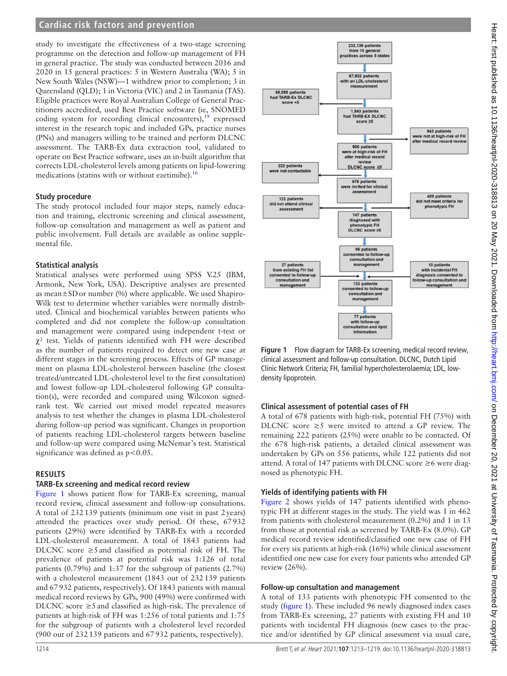# **Cardiac risk factors and prevention**

study to investigate the effectiveness of a two-stage screening programme on the detection and follow-up management of FH in general practice. The study was conducted between 2016 and 2020 in 15 general practices: 5 in Western Australia (WA); 5 in New South Wales (NSW)—1 withdrew prior to completion; 3 in Queensland (QLD); 1 in Victoria (VIC) and 2 in Tasmania (TAS). Eligible practices were Royal Australian College of General Practitioners accredited, used Best Practice software (ie, SNOMED coding system for recording clinical encounters),  $19$  expressed interest in the research topic and included GPs, practice nurses (PNs) and managers willing to be trained and perform DLCNC assessment. The TARB-Ex data extraction tool, validated to operate on Best Practice software, uses an in-built algorithm that corrects LDL-cholesterol levels among patients on lipid-lowering medications (statins with or without ezetimibe).<sup>[16](#page-6-6)</sup>

## **Study procedure**

The study protocol included four major steps, namely education and training, electronic screening and clinical assessment, follow-up consultation and management as well as patient and public involvement. Full details are available as [online supple](https://dx.doi.org/10.1136/heartjnl-2020-318813)[mental file.](https://dx.doi.org/10.1136/heartjnl-2020-318813)

## **Statistical analysis**

Statistical analyses were performed using SPSS V.25 (IBM, Armonk, New York, USA). Descriptive analyses are presented as mean $\pm$ SD or number (%) where applicable. We used Shapiro-Wilk test to determine whether variables were normally distributed. Clinical and biochemical variables between patients who completed and did not complete the follow-up consultation and management were compared using independent t-test or  $\chi^2$  test. Yields of patients identified with FH were described as the number of patients required to detect one new case at different stages in the screening process. Effects of GP management on plasma LDL-cholesterol between baseline (the closest treated/untreated LDL-cholesterol level to the first consultation) and lowest follow-up LDL-cholesterol following GP consultation(s), were recorded and compared using Wilcoxon signedrank test. We carried out mixed model repeated measures analysis to test whether the changes in plasma LDL-cholesterol during follow-up period was significant. Changes in proportion of patients reaching LDL-cholesterol targets between baseline and follow-up were compared using McNemar's test. Statistical significance was defined as  $p < 0.05$ .

## **RESULTS**

## **TARB-Ex screening and medical record review**

[Figure](#page-1-0) 1 shows patient flow for TARB-Ex screening, manual record review, clinical assessment and follow-up consultations. A total of 232139 patients (minimum one visit in past 2years) attended the practices over study period. Of these, 67932 patients (29%) were identified by TARB-Ex with a recorded LDL-cholesterol measurement. A total of 1843 patients had DLCNC score  $\geq$ 5 and classified as potential risk of FH. The prevalence of patients at potential risk was 1:126 of total patients (0.79%) and 1:37 for the subgroup of patients (2.7%) with a cholesterol measurement (1843 out of 232139 patients and 67932 patients, respectively). Of 1843 patients with manual medical record reviews by GPs, 900 (49%) were confirmed with DLCNC score  $\geq$ 5 and classified as high-risk. The prevalence of patients at high-risk of FH was 1:256 of total patients and 1:75 for the subgroup of patients with a cholesterol level recorded (900 out of 232139 patients and 67932 patients, respectively).



<span id="page-1-0"></span>**Figure 1** Flow diagram for TARB-Ex screening, medical record review, clinical assessment and follow-up consultation. DLCNC, Dutch Lipid Clinic Network Criteria; FH, familial hypercholesterolaemia; LDL, lowdensity lipoprotein.

# **Clinical assessment of potential cases of FH**

A total of 678 patients with high-risk, potential FH (75%) with DLCNC score  $\geq$ 5 were invited to attend a GP review. The remaining 222 patients (25%) were unable to be contacted. Of the 678 high-risk patients, a detailed clinical assessment was undertaken by GPs on 556 patients, while 122 patients did not attend. A total of 147 patients with DLCNC score  $\geq$ 6 were diagnosed as phenotypic FH.

# **Yields of identifying patients with FH**

[Figure](#page-2-0) 2 shows yields of 147 patients identified with phenotypic FH at different stages in the study. The yield was 1 in 462 from patients with cholesterol measurement (0.2%) and 1 in 13 from those at potential risk as screened by TARB-Ex (8.0%). GP medical record review identified/classified one new case of FH for every six patients at high-risk (16%) while clinical assessment identified one new case for every four patients who attended GP review (26%).

## **Follow-up consultation and management**

A total of 133 patients with phenotypic FH consented to the study ([figure](#page-1-0) 1). These included 96 newly diagnosed index cases from TARB-Ex screening, 27 patients with existing FH and 10 patients with incidental FH diagnosis (new cases to the practice and/or identified by GP clinical assessment via usual care,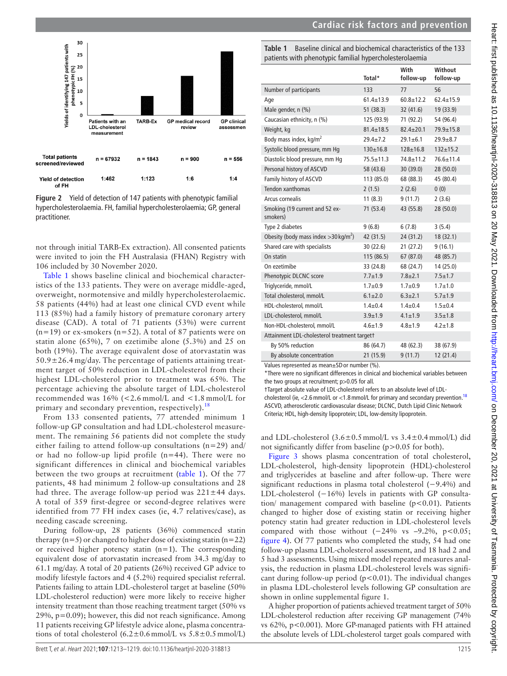



<span id="page-2-0"></span>**Figure 2** Yield of detection of 147 patients with phenotypic familial hypercholesterolaemia. FH, familial hypercholesterolaemia; GP, general practitioner.

not through initial TARB-Ex extraction). All consented patients were invited to join the FH Australasia (FHAN) Registry with 106 included by 30 November 2020.

[Table](#page-2-1) 1 shows baseline clinical and biochemical characteristics of the 133 patients. They were on average middle-aged, overweight, normotensive and mildly hypercholesterolaemic. 58 patients (44%) had at least one clinical CVD event while 113 (85%) had a family history of premature coronary artery disease (CAD). A total of 71 patients (53%) were current  $(n=19)$  or ex-smokers  $(n=52)$ . A total of 87 patients were on statin alone (65%), 7 on ezetimibe alone (5.3%) and 25 on both (19%). The average equivalent dose of atorvastatin was  $50.9 \pm 26.4$  mg/day. The percentage of patients attaining treatment target of 50% reduction in LDL-cholesterol from their highest LDL-cholesterol prior to treatment was 65%. The percentage achieving the absolute target of LDL-cholesterol recommended was 16% (<2.6 mmol/L and <1.8 mmol/L for primary and secondary prevention, respectively). $^{18}$  $^{18}$  $^{18}$ 

From 133 consented patients, 77 attended minimum 1 follow-up GP consultation and had LDL-cholesterol measurement. The remaining 56 patients did not complete the study either failing to attend follow-up consultations  $(n=29)$  and/ or had no follow-up lipid profile (n=44). There were no significant differences in clinical and biochemical variables between the two groups at recruitment ([table](#page-2-1) 1). Of the 77 patients, 48 had minimum 2 follow-up consultations and 28 had three. The average follow-up period was  $221 \pm 44$  days. A total of 359 first-degree or second-degree relatives were identified from 77 FH index cases (ie, 4.7 relatives/case), as needing cascade screening.

During follow-up, 28 patients (36%) commenced statin therapy  $(n=5)$  or changed to higher dose of existing statin  $(n=22)$ or received higher potency statin (n=1). The corresponding equivalent dose of atorvastatin increased from 34.3 mg/day to 61.1 mg/day. A total of 20 patients (26%) received GP advice to modify lifestyle factors and 4 (5.2%) required specialist referral. Patients failing to attain LDL-cholesterol target at baseline (50% LDL-cholesterol reduction) were more likely to receive higher intensity treatment than those reaching treatment target (50% vs  $29\%$ ,  $p=0.09$ ; however, this did not reach significance. Among 11 patients receiving GP lifestyle advice alone, plasma concentrations of total cholesterol  $(6.2 \pm 0.6 \text{ mmol/L} \text{ vs } 5.8 \pm 0.5 \text{ mmol/L})$ 

<span id="page-2-1"></span>**Table 1** Baseline clinical and biochemical characteristics of the 133 patients with phenotypic familial hypercholesterolaemia

|                                                     | Total*          | With<br>follow-up | Without<br>follow-up |
|-----------------------------------------------------|-----------------|-------------------|----------------------|
| Number of participants                              | 133             | 77                | 56                   |
| Age                                                 | $61.4 + 13.9$   | $60.8 + 12.2$     | $62.4 + 15.9$        |
| Male gender, n (%)                                  | 51(38.3)        | 32 (41.6)         | 19 (33.9)            |
| Caucasian ethnicity, n (%)                          | 125 (93.9)      | 71 (92.2)         | 54 (96.4)            |
| Weight, kg                                          | $81.4 \pm 18.5$ | $82.4 \pm 20.1$   | $79.9 \pm 15.8$      |
| Body mass index, kg/m <sup>2</sup>                  | $29.4 + 7.2$    | $29.1 + 6.1$      | $29.9 + 8.7$         |
| Systolic blood pressure, mm Hq                      | $130 \pm 16.8$  | $128 + 16.8$      | $132 \pm 15.2$       |
| Diastolic blood pressure, mm Hq                     | $75.5 \pm 11.3$ | $74.8 + 11.2$     | $76.6 \pm 11.4$      |
| Personal history of ASCVD                           | 58 (43.6)       | 30(39.0)          | 28 (50.0)            |
| Family history of ASCVD                             | 113 (85.0)      | 68 (88.3)         | 45 (80.4)            |
| Tendon xanthomas                                    | 2(1.5)          | 2(2.6)            | 0(0)                 |
| Arcus cornealis                                     | 11(8.3)         | 9(11.7)           | 2(3.6)               |
| Smoking (19 current and 52 ex-<br>smokers)          | 71 (53.4)       | 43 (55.8)         | 28 (50.0)            |
| Type 2 diabetes                                     | 9(6.8)          | 6(7.8)            | 3(5.4)               |
| Obesity (body mass index $>$ 30 kg/m <sup>2</sup> ) | 42 (31.5)       | 24 (31.2)         | 18 (32.1)            |
| Shared care with specialists                        | 30 (22.6)       | 21(27.2)          | 9(16.1)              |
| On statin                                           | 115 (86.5)      | 67(87.0)          | 48 (85.7)            |
| On ezetimibe                                        | 33 (24.8)       | 68 (24.7)         | 14 (25.0)            |
| Phenotypic DLCNC score                              | $7.7 + 1.9$     | $7.8 + 2.1$       | $7.5 + 1.7$          |
| Triglyceride, mmol/L                                | $1.7 + 0.9$     | $1.7 + 0.9$       | $1.7 + 1.0$          |
| Total cholesterol, mmol/L                           | $6.1 \pm 2.0$   | $6.3 + 2.1$       | $5.7 \pm 1.9$        |
| HDL-cholesterol, mmol/L                             | $1.4 + 0.4$     | $1.4 + 0.4$       | $1.5 + 0.4$          |
| LDL-cholesterol, mmol/L                             | $3.9 + 1.9$     | $4.1 \pm 1.9$     | $3.5 \pm 1.8$        |
| Non-HDL-cholesterol, mmol/L                         | $4.6 + 1.9$     | $4.8 + 1.9$       | $4.2 \pm 1.8$        |
| Attainment LDL-cholesterol treatment targett        |                 |                   |                      |
| By 50% reduction                                    | 86 (64.7)       | 48 (62.3)         | 38 (67.9)            |
| By absolute concentration                           | 21 (15.9)       | 9(11.7)           | 12 (21.4)            |

Values represented as mean±SDor number (%).

\*There were no significant differences in clinical and biochemical variables between the two groups at recruitment; p>0.05 for all.

†Target absolute value of LDL-cholesterol refers to an absolute level of LDL-

cholesterol (ie, <2.6 mmol/L or <1.8 mmol/L for primary and secondary prevention.<sup>18</sup> ASCVD, atherosclerotic cardiovascular disease; DLCNC, Dutch Lipid Clinic Network Criteria; HDL, high-density lipoprotein; LDL, low-density lipoprotein.

and LDL-cholesterol  $(3.6\pm0.5 \text{ mmol/L vs } 3.4\pm0.4 \text{ mmol/L})$  did not significantly differ from baseline (p>0.05 for both).

[Figure](#page-3-0) 3 shows plasma concentration of total cholesterol, LDL-cholesterol, high-density lipoprotein (HDL)-cholesterol and triglycerides at baseline and after follow-up. There were significant reductions in plasma total cholesterol (−9.4%) and LDL-cholesterol (−16%) levels in patients with GP consultation/ management compared with baseline (p<0.01). Patients changed to higher dose of existing statin or receiving higher potency statin had greater reduction in LDL-cholesterol levels compared with those without  $(-24\% \text{ vs } -9.2\%, \text{ p} < 0.05;$ [figure](#page-3-1) 4). Of 77 patients who completed the study, 54 had one follow-up plasma LDL-cholesterol assessment, and 18 had 2 and 5 had 3 assessments. Using mixed model repeated measures analysis, the reduction in plasma LDL-cholesterol levels was significant during follow-up period (p<0.01). The individual changes in plasma LDL-cholesterol levels following GP consultation are shown in [online supplemental figure 1.](https://dx.doi.org/10.1136/heartjnl-2020-318813)

A higher proportion of patients achieved treatment target of 50% LDL-cholesterol reduction after receiving GP management (74% vs 62%, p<0.001). More GP-managed patients with FH attained the absolute levels of LDL-cholesterol target goals compared with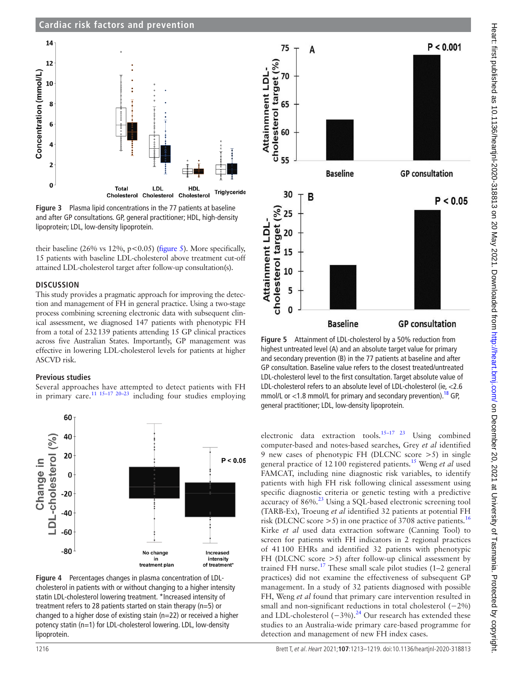# **Cardiac risk factors and prevention**



<span id="page-3-0"></span>**Figure 3** Plasma lipid concentrations in the 77 patients at baseline and after GP consultations. GP, general practitioner; HDL, high-density lipoprotein; LDL, low-density lipoprotein.

their baseline (26% vs 12%, p<0.05) [\(figure](#page-3-2) 5). More specifically, 15 patients with baseline LDL-cholesterol above treatment cut-off attained LDL-cholesterol target after follow-up consultation(s).

#### **DISCUSSION**

This study provides a pragmatic approach for improving the detection and management of FH in general practice. Using a two-stage process combining screening electronic data with subsequent clinical assessment, we diagnosed 147 patients with phenotypic FH from a total of 232139 patients attending 15 GP clinical practices across five Australian States. Importantly, GP management was effective in lowering LDL-cholesterol levels for patients at higher ASCVD risk.

#### **Previous studies**

Several approaches have attempted to detect patients with FH in primary care.<sup>[11 15–17 20–23](#page-6-9)</sup> including four studies employing



<span id="page-3-1"></span>**Figure 4** Percentages changes in plasma concentration of LDLcholesterol in patients with or without changing to a higher intensity statin LDL-cholesterol lowering treatment. \*Increased intensity of treatment refers to 28 patients started on stain therapy (n=5) or changed to a higher dose of existing stain (n=22) or received a higher potency statin (n=1) for LDL-cholesterol lowering. LDL, low-density lipoprotein.



<span id="page-3-2"></span>**Figure 5** Attainment of LDL-cholesterol by a 50% reduction from highest untreated level (A) and an absolute target value for primary and secondary prevention (B) in the 77 patients at baseline and after GP consultation. Baseline value refers to the closest treated/untreated LDL-cholesterol level to the first consultation. Target absolute value of LDL-cholesterol refers to an absolute level of LDL-cholesterol (ie, <2.6 mmol/L or  $<$ 1.8 mmol/L for primary and secondary prevention).<sup>[18](#page-6-8)</sup> GP, general practitioner; LDL, low-density lipoprotein.

electronic data extraction tools.[15–17 23](#page-6-5) Using combined computer-based and notes-based searches, Grey *et al* identified 9 new cases of phenotypic FH (DLCNC score >5) in single general practice of 12100 registered patients.[15](#page-6-5) Weng *et al* used FAMCAT, including nine diagnostic risk variables, to identify patients with high FH risk following clinical assessment using specific diagnostic criteria or genetic testing with a predictive accuracy of 86%.[23](#page-6-10) Using a SQL-based electronic screening tool (TARB-Ex), Troeung *et al* identified 32 patients at potential FH risk (DLCNC score  $>$  5) in one practice of 3708 active patients.<sup>[16](#page-6-6)</sup> Kirke *et al* used data extraction software (Canning Tool) to screen for patients with FH indicators in 2 regional practices of 41100 EHRs and identified 32 patients with phenotypic FH (DLCNC score >5) after follow-up clinical assessment by trained FH nurse.<sup>17</sup> These small scale pilot studies (1–2 general practices) did not examine the effectiveness of subsequent GP management. In a study of 32 patients diagnosed with possible FH, Weng *et al* found that primary care intervention resulted in small and non-significant reductions in total cholesterol (−2%) and LDL-cholesterol  $(-3%)$ .<sup>24</sup> Our research has extended these studies to an Australia-wide primary care-based programme for detection and management of new FH index cases.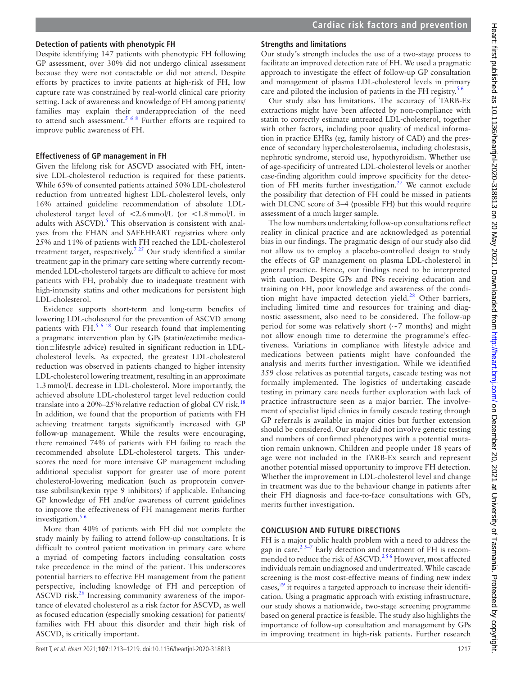# **Detection of patients with phenotypic FH**

Despite identifying 147 patients with phenotypic FH following GP assessment, over 30% did not undergo clinical assessment because they were not contactable or did not attend. Despite efforts by practices to invite patients at high-risk of FH, low capture rate was constrained by real-world clinical care priority setting. Lack of awareness and knowledge of FH among patients/ families may explain their underappreciation of the need to attend such assessment.<sup>5 6 8</sup> Further efforts are required to improve public awareness of FH.

# **Effectiveness of GP management in FH**

Given the lifelong risk for ASCVD associated with FH, intensive LDL-cholesterol reduction is required for these patients. While 65% of consented patients attained 50% LDL-cholesterol reduction from untreated highest LDL-cholesterol levels, only 16% attained guideline recommendation of absolute LDLcholesterol target level of  $\langle 2.6 \text{mmol/L} \rangle$  (or  $\langle 1.8 \text{mmol/L} \rangle$  in adults with ASCVD).<sup>5</sup> This observation is consistent with analyses from the FHAN and SAFEHEART registries where only 25% and 11% of patients with FH reached the LDL-cholesterol treatment target, respectively.<sup>725</sup> Our study identified a similar treatment gap in the primary care setting where currently recommended LDL-cholesterol targets are difficult to achieve for most patients with FH, probably due to inadequate treatment with high-intensity statins and other medications for persistent high LDL-cholesterol.

Evidence supports short-term and long-term benefits of lowering LDL-cholesterol for the prevention of ASCVD among patients with FH.<sup>5 6 18</sup> Our research found that implementing a pragmatic intervention plan by GPs (statin/ezetimibe medication±lifestyle advice) resulted in significant reduction in LDLcholesterol levels. As expected, the greatest LDL-cholesterol reduction was observed in patients changed to higher intensity LDL-cholesterol lowering treatment, resulting in an approximate 1.3mmol/L decrease in LDL-cholesterol. More importantly, the achieved absolute LDL-cholesterol target level reduction could translate into a 20%–25% relative reduction of global CV risk.<sup>[18](#page-6-8)</sup> In addition, we found that the proportion of patients with FH achieving treatment targets significantly increased with GP follow-up management. While the results were encouraging, there remained 74% of patients with FH failing to reach the recommended absolute LDL-cholesterol targets. This underscores the need for more intensive GP management including additional specialist support for greater use of more potent cholesterol-lowering medication (such as proprotein convertase subtilisin/kexin type 9 inhibitors) if applicable. Enhancing GP knowledge of FH and/or awareness of current guidelines to improve the effectiveness of FH management merits further investigation. $56$ 

More than 40% of patients with FH did not complete the study mainly by failing to attend follow-up consultations. It is difficult to control patient motivation in primary care where a myriad of competing factors including consultation costs take precedence in the mind of the patient. This underscores potential barriers to effective FH management from the patient perspective, including knowledge of FH and perception of ASCVD risk.<sup>[26](#page-6-14)</sup> Increasing community awareness of the importance of elevated cholesterol as a risk factor for ASCVD, as well as focused education (especially smoking cessation) for patients/ families with FH about this disorder and their high risk of ASCVD, is critically important.

# **Strengths and limitations**

Our study's strength includes the use of a two-stage process to facilitate an improved detection rate of FH. We used a pragmatic approach to investigate the effect of follow-up GP consultation and management of plasma LDL-cholesterol levels in primary care and piloted the inclusion of patients in the FH registry.<sup>56</sup>

Our study also has limitations. The accuracy of TARB-Ex extractions might have been affected by non-compliance with statin to correctly estimate untreated LDL-cholesterol, together with other factors, including poor quality of medical information in practice EHRs (eg, family history of CAD) and the presence of secondary hypercholesterolaemia, including cholestasis, nephrotic syndrome, steroid use, hypothyroidism. Whether use of age-specificity of untreated LDL-cholesterol levels or another case-finding algorithm could improve specificity for the detection of FH merits further investigation.<sup>27</sup> We cannot exclude the possibility that detection of FH could be missed in patients with DLCNC score of 3–4 (possible FH) but this would require assessment of a much larger sample.

The low numbers undertaking follow-up consultations reflect reality in clinical practice and are acknowledged as potential bias in our findings. The pragmatic design of our study also did not allow us to employ a placebo-controlled design to study the effects of GP management on plasma LDL-cholesterol in general practice. Hence, our findings need to be interpreted with caution. Despite GPs and PNs receiving education and training on FH, poor knowledge and awareness of the condition might have impacted detection yield.<sup>28</sup> Other barriers, including limited time and resources for training and diagnostic assessment, also need to be considered. The follow-up period for some was relatively short  $(\sim)$  months) and might not allow enough time to determine the programme's effectiveness. Variations in compliance with lifestyle advice and medications between patients might have confounded the analysis and merits further investigation. While we identified 359 close relatives as potential targets, cascade testing was not formally implemented. The logistics of undertaking cascade testing in primary care needs further exploration with lack of practice infrastructure seen as a major barrier. The involvement of specialist lipid clinics in family cascade testing through GP referrals is available in major cities but further extension should be considered. Our study did not involve genetic testing and numbers of confirmed phenotypes with a potential mutation remain unknown. Children and people under 18 years of age were not included in the TARB-Ex search and represent another potential missed opportunity to improve FH detection. Whether the improvement in LDL-cholesterol level and change in treatment was due to the behaviour change in patients after their FH diagnosis and face-to-face consultations with GPs, merits further investigation.

## **CONCLUSION AND FUTURE DIRECTIONS**

FH is a major public health problem with a need to address the gap in care.<sup>2 5–7</sup> Early detection and treatment of FH is recommended to reduce the risk of ASCVD.<sup>256</sup> However, most affected individuals remain undiagnosed and undertreated. While cascade screening is the most cost-effective means of finding new index cases,<sup>29</sup> it requires a targeted approach to increase their identification. Using a pragmatic approach with existing infrastructure, our study shows a nationwide, two-stage screening programme based on general practice is feasible. The study also highlights the importance of follow-up consultation and management by GPs in improving treatment in high-risk patients. Further research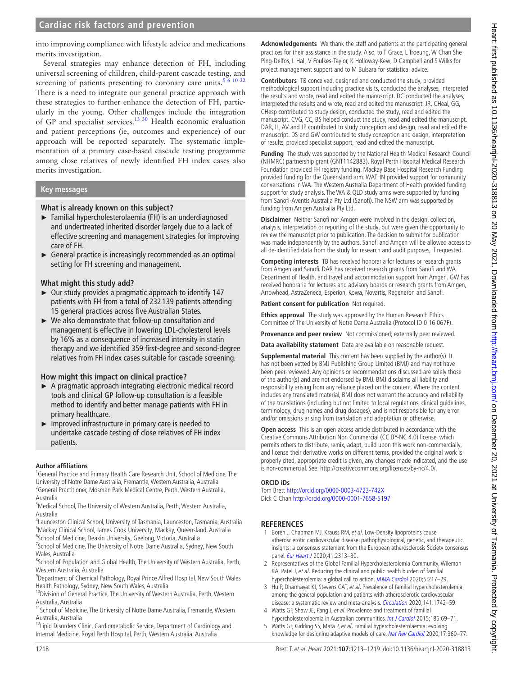# **Cardiac risk factors and prevention**

into improving compliance with lifestyle advice and medications merits investigation.

Several strategies may enhance detection of FH, including universal screening of children, child-parent cascade testing, and screening of patients presenting to coronary care units.<sup>[5 6 10 22](#page-5-2)</sup> There is a need to integrate our general practice approach with these strategies to further enhance the detection of FH, particularly in the young. Other challenges include the integration of GP and specialist services.<sup>13 30</sup> Health economic evaluation and patient perceptions (ie, outcomes and experience) of our approach will be reported separately. The systematic implementation of a primary case-based cascade testing programme among close relatives of newly identified FH index cases also merits investigation.

#### **Key messages**

#### **What is already known on this subject?**

- ► Familial hypercholesterolaemia (FH) is an underdiagnosed and undertreated inherited disorder largely due to a lack of effective screening and management strategies for improving care of FH.
- $\triangleright$  General practice is increasingly recommended as an optimal setting for FH screening and management.

#### **What might this study add?**

- ► Our study provides a pragmatic approach to identify 147 patients with FH from a total of 232 139 patients attending 15 general practices across five Australian States.
- ► We also demonstrate that follow-up consultation and management is effective in lowering LDL-cholesterol levels by 16% as a consequence of increased intensity in statin therapy and we identified 359 first-degree and second-degree relatives from FH index cases suitable for cascade screening.

#### **How might this impact on clinical practice?**

- ► A pragmatic approach integrating electronic medical record tools and clinical GP follow-up consultation is a feasible method to identify and better manage patients with FH in primary healthcare.
- ► Improved infrastructure in primary care is needed to undertake cascade testing of close relatives of FH index patients.

#### **Author affiliations**

<sup>1</sup>General Practice and Primary Health Care Research Unit, School of Medicine, The University of Notre Dame Australia, Fremantle, Western Australia, Australia <sup>2</sup> General Practitioner, Mosman Park Medical Centre, Perth, Western Australia, Australia

<sup>3</sup>Medical School, The University of Western Australia, Perth, Western Australia, Australia

4 Launceston Clinical School, University of Tasmania, Launceston, Tasmania, Australia 5 Mackay Clinical School, James Cook University, Mackay, Queensland, Australia <sup>6</sup>School of Medicine, Deakin University, Geelong, Victoria, Australia

<sup>7</sup>School of Medicine, The University of Notre Dame Australia, Sydney, New South Wales, Australia

<sup>8</sup>School of Population and Global Health, The University of Western Australia, Perth, Western Australia, Australia

<sup>9</sup>Department of Chemical Pathology, Royal Prince Alfred Hospital, New South Wales Health Pathology, Sydney, New South Wales, Australia

<sup>10</sup>Division of General Practice, The University of Western Australia, Perth, Western Australia, Australia

<sup>11</sup>School of Medicine, The University of Notre Dame Australia, Fremantle, Western Australia, Australia

<sup>12</sup>Lipid Disorders Clinic, Cardiometabolic Service, Department of Cardiology and Internal Medicine, Royal Perth Hospital, Perth, Western Australia, Australia

**Acknowledgements** We thank the staff and patients at the participating general practices for their assistance in the study. Also, to T Grace, L Troeung, W Chan She Ping-Delfos, L Hall, V Foulkes-Taylor, K Holloway-Kew, D Campbell and S Wilks for project management support and to M Bulsara for statistical advice.

**Contributors** TB conceived, designed and conducted the study, provided methodological support including practice visits, conducted the analyses, interpreted the results and wrote, read and edited the manuscript. DC conducted the analyses, interpreted the results and wrote, read and edited the manuscript. JR, CHeal, GG, CHesp contributed to study design, conducted the study, read and edited the manuscript. CVG, CC, BS helped conduct the study, read and edited the manuscript. DAR, IL, AV and JP contributed to study conception and design, read and edited the manuscript. DS and GW contributed to study conception and design, interpretation of results, provided specialist support, read and edited the manuscript.

**Funding** The study was supported by the National Health Medical Research Council (NHMRC) partnership grant (GNT1142883). Royal Perth Hospital Medical Research Foundation provided FH registry funding. Mackay Base Hospital Research Funding provided funding for the Queensland arm. WATHN provided support for community conversations in WA. The Western Australia Department of Health provided funding support for study analysis. The WA & QLD study arms were supported by funding from Sanofi-Aventis Australia Pty Ltd (Sanofi). The NSW arm was supported by funding from Amgen Australia Pty Ltd.

**Disclaimer** Neither Sanofi nor Amgen were involved in the design, collection, analysis, interpretation or reporting of the study, but were given the opportunity to review the manuscript prior to publication. The decision to submit for publication was made independently by the authors. Sanofi and Amgen will be allowed access to all de-identified data from the study for research and audit purposes, if requested.

**Competing interests** TB has received honoraria for lectures or research grants from Amgen and Sanofi. DAR has received research grants from Sanofi and WA Department of Health, and travel and accommodation support from Amgen. GW has received honoraria for lectures and advisory boards or research grants from Amgen, Arrowhead, AstraZeneca, Esperion, Kowa, Novartis, Regeneron and Sanofi.

#### **Patient consent for publication** Not required.

**Ethics approval** The study was approved by the Human Research Ethics Committee of The University of Notre Dame Australia (Protocol ID 0 16 067F).

**Provenance and peer review** Not commissioned; externally peer reviewed.

**Data availability statement** Data are available on reasonable request.

**Supplemental material** This content has been supplied by the author(s). It has not been vetted by BMJ Publishing Group Limited (BMJ) and may not have been peer-reviewed. Any opinions or recommendations discussed are solely those of the author(s) and are not endorsed by BMJ. BMJ disclaims all liability and responsibility arising from any reliance placed on the content. Where the content includes any translated material, BMJ does not warrant the accuracy and reliability of the translations (including but not limited to local regulations, clinical guidelines, terminology, drug names and drug dosages), and is not responsible for any error and/or omissions arising from translation and adaptation or otherwise.

**Open access** This is an open access article distributed in accordance with the Creative Commons Attribution Non Commercial (CC BY-NC 4.0) license, which permits others to distribute, remix, adapt, build upon this work non-commercially, and license their derivative works on different terms, provided the original work is properly cited, appropriate credit is given, any changes made indicated, and the use is non-commercial. See: [http://creativecommons.org/licenses/by-nc/4.0/.](http://creativecommons.org/licenses/by-nc/4.0/)

#### **ORCID iDs**

Tom Brett <http://orcid.org/0000-0003-4723-742X> Dick C Chan<http://orcid.org/0000-0001-7658-5197>

## **REFERENCES**

- <span id="page-5-0"></span>1 Borén J, Chapman MJ, Krauss RM, et al. Low-Density lipoproteins cause atherosclerotic cardiovascular disease: pathophysiological, genetic, and therapeutic insights: a consensus statement from the European atherosclerosis Society consensus panel. [Eur Heart J](http://dx.doi.org/10.1093/eurheartj/ehz962) 2020;41:2313-30.
- <span id="page-5-1"></span>2 Representatives of the Global Familial Hypercholesterolemia Community, Wilemon KA, Patel J, et al. Reducing the clinical and public health burden of familial hypercholesterolemia: a global call to action. [JAMA Cardiol](http://dx.doi.org/10.1001/jamacardio.2019.5173) 2020;5:217–29.
- 3 Hu P, Dharmayat KI, Stevens CAT, et al. Prevalence of familial hypercholesterolemia among the general population and patients with atherosclerotic cardiovascular disease: a systematic review and meta-analysis. [Circulation](http://dx.doi.org/10.1161/CIRCULATIONAHA.119.044795) 2020;141:1742-59.
- 4 Watts GF, Shaw JE, Pang J, et al. Prevalence and treatment of familial hypercholesterolaemia in Australian communities. [Int J Cardiol](http://dx.doi.org/10.1016/j.ijcard.2015.03.027) 2015;185:69-71.
- <span id="page-5-2"></span>5 Watts GF, Gidding SS, Mata P, et al. Familial hypercholesterolaemia: evolving knowledge for designing adaptive models of care. [Nat Rev Cardiol](http://dx.doi.org/10.1038/s41569-019-0325-8) 2020;17:360-77.